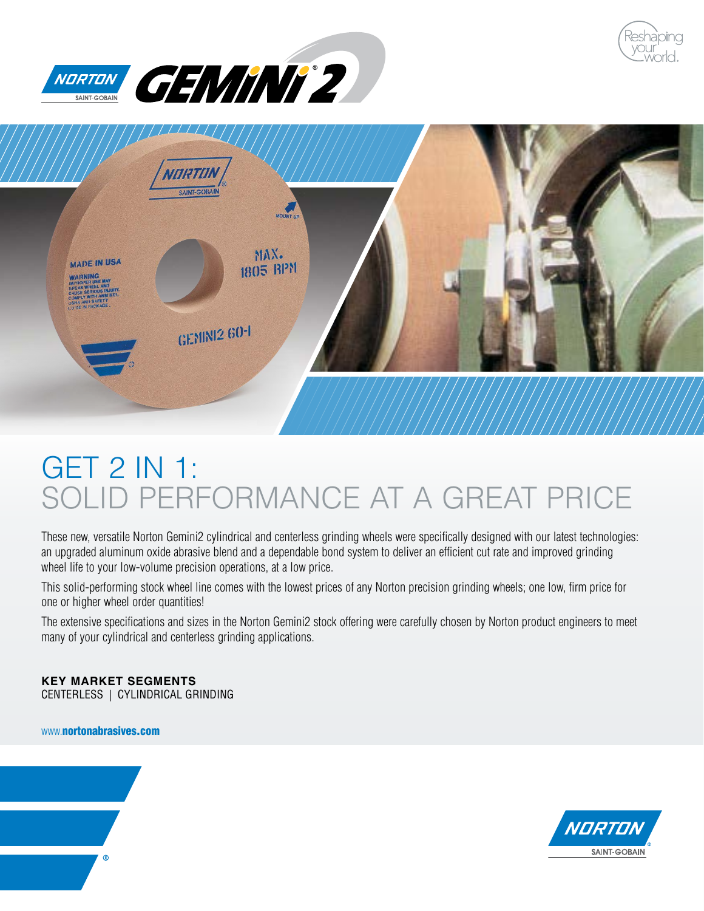





# GET 2 IN 1: SOLID PERFORMANCE AT A GREAT PRICE

These new, versatile Norton Gemini2 cylindrical and centerless grinding wheels were specifically designed with our latest technologies: an upgraded aluminum oxide abrasive blend and a dependable bond system to deliver an efficient cut rate and improved grinding wheel life to your low-volume precision operations, at a low price.

This solid-performing stock wheel line comes with the lowest prices of any Norton precision grinding wheels; one low, firm price for one or higher wheel order quantities!

The extensive specifications and sizes in the Norton Gemini2 stock offering were carefully chosen by Norton product engineers to meet many of your cylindrical and centerless grinding applications.

#### **KEY MARKET SEGMENTS**

CENTERLESS | CYLINDRICAL GRINDING

www.[nortonabrasives.com](http://www.nortonabrasives.com/en-us)